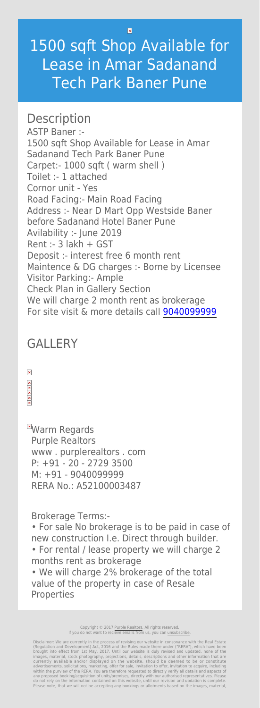$\vert \mathbf{x} \vert$ 

## 1500 sqft Shop Available for Lease in Amar Sadanand Tech Park Baner Pune

## **Description**

ASTP Baner :- 1500 sqft Shop Available for Lease in Amar Sadanand Tech Park Baner Pune Carpet:- 1000 sqft ( warm shell ) Toilet :- 1 attached Cornor unit - Yes Road Facing:- Main Road Facing Address :- Near D Mart Opp Westside Baner before Sadanand Hotel Baner Pune Avilability :- June 2019 Rent :- 3 lakh + GST Deposit :- interest free 6 month rent Maintence & DG charges :- Borne by Licensee Visitor Parking:- Ample Check Plan in Gallery Section We will charge 2 month rent as brokerage For site visit & more details call [9040099999](#page--1-0)

**EWarm Regards** Purple Realtors www . purplerealtors . com P: +91 - 20 - 2729 3500 M: +91 - 9040099999 RERA No.: A52100003487

## GALLERY

Brokerage Terms:-

• For sale No brokerage is to be paid in case of new construction I.e. Direct through builder.

• For rental / lease property we will charge 2 months rent as brokerage

• We will charge 2% brokerage of the total value of the property in case of Resale Properties

> Copyright © 2017 [Purple Realtors](https://purplerealtors.in/). All rights reserved. If you do not want to recieve emails from us, you can [unsubscribe.](#page--1-0)

Disclaimer: We are currently in the process of revising our website in consonance with the Real Estate (Regulation and Development) Act, 2016 and the Rules made there under ("RERA"), which have been brought into effect from 1st May, 2017. Until our website is duly revised and updated, none of the images, material, stock photography, projections, details, descriptions and other information that are currently available and/or displayed on the website, should be deemed to be or constitute advertisements, solicitations, marketing, offer for sale, invitation to offer, invitation to acquire, including within the purview of the RERA. You are therefore requested to directly verify all details and aspects of any proposed booking/acquisition of units/premises, directly with our authorised representatives. Please do not rely on the information contained on this website, until our revision and updation is complete. Please note, that we will not be accepting any bookings or allotments based on the images, material,